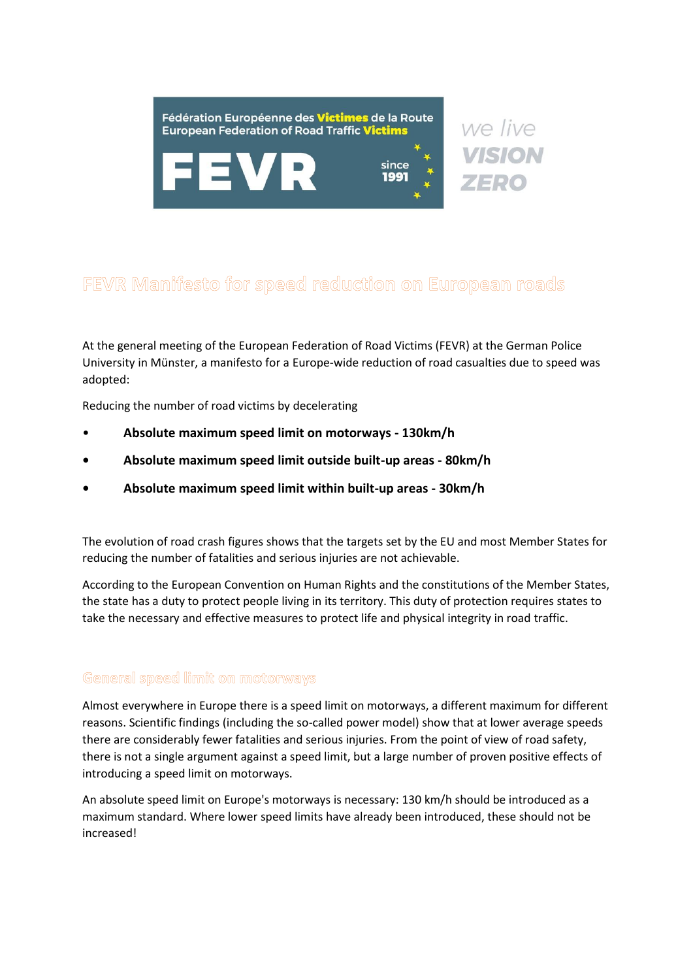



we live

## FEVR Manifesto for speed reduction on European roads

At the general meeting of the European Federation of Road Victims (FEVR) at the German Police University in Münster, a manifesto for a Europe-wide reduction of road casualties due to speed was adopted:

Reducing the number of road victims by decelerating

- **Absolute maximum speed limit on motorways - 130km/h**
- **• Absolute maximum speed limit outside built-up areas - 80km/h**
- **• Absolute maximum speed limit within built-up areas - 30km/h**

The evolution of road crash figures shows that the targets set by the EU and most Member States for reducing the number of fatalities and serious injuries are not achievable.

According to the European Convention on Human Rights and the constitutions of the Member States, the state has a duty to protect people living in its territory. This duty of protection requires states to take the necessary and effective measures to protect life and physical integrity in road traffic.

## General speed limit on motorways

Almost everywhere in Europe there is a speed limit on motorways, a different maximum for different reasons. Scientific findings (including the so-called power model) show that at lower average speeds there are considerably fewer fatalities and serious injuries. From the point of view of road safety, there is not a single argument against a speed limit, but a large number of proven positive effects of introducing a speed limit on motorways.

An absolute speed limit on Europe's motorways is necessary: 130 km/h should be introduced as a maximum standard. Where lower speed limits have already been introduced, these should not be increased!